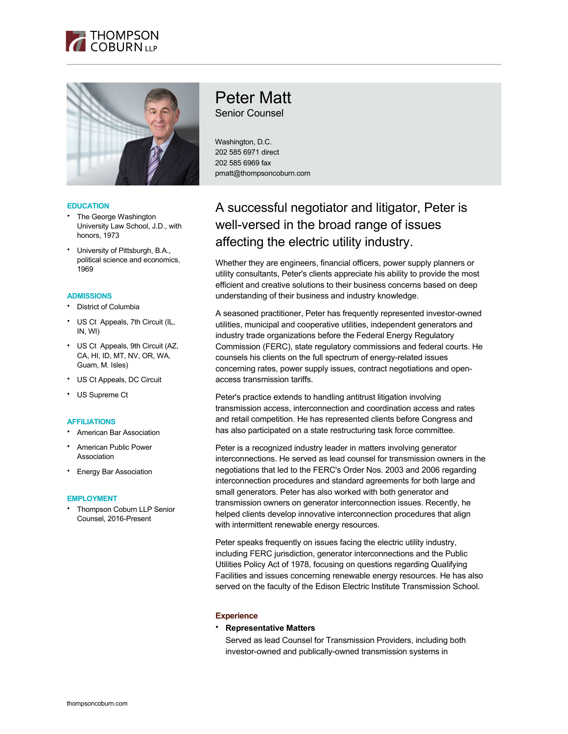



### **EDUCATION**

- The George Washington University Law School, J.D., with honors, 1973
- University of Pittsburgh, B.A., political science and economics, 1969

### **ADMISSIONS**

- District of Columbia
- US Ct Appeals, 7th Circuit (IL, IN, WI)
- US Ct Appeals, 9th Circuit (AZ, CA, HI, ID, MT, NV, OR, WA, Guam, M. Isles)
- US Ct Appeals, DC Circuit
- US Supreme Ct

# **AFFILIATIONS**

- American Bar Association
- American Public Power Association
- **Energy Bar Association**

#### **EMPLOYMENT**

• Thompson Coburn LLP Senior Counsel, 2016-Present

# Peter Matt

Senior Counsel

Washington, D.C. 202 585 6971 direct 202 585 6969 fax pmatt@thompsoncoburn.com

# A successful negotiator and litigator, Peter is well-versed in the broad range of issues affecting the electric utility industry.

Whether they are engineers, financial officers, power supply planners or utility consultants, Peter's clients appreciate his ability to provide the most efficient and creative solutions to their business concerns based on deep understanding of their business and industry knowledge.

A seasoned practitioner, Peter has frequently represented investor-owned utilities, municipal and cooperative utilities, independent generators and industry trade organizations before the Federal Energy Regulatory Commission (FERC), state regulatory commissions and federal courts. He counsels his clients on the full spectrum of energy-related issues concerning rates, power supply issues, contract negotiations and openaccess transmission tariffs.

Peter's practice extends to handling antitrust litigation involving transmission access, interconnection and coordination access and rates and retail competition. He has represented clients before Congress and has also participated on a state restructuring task force committee.

Peter is a recognized industry leader in matters involving generator interconnections. He served as lead counsel for transmission owners in the negotiations that led to the FERC's Order Nos. 2003 and 2006 regarding interconnection procedures and standard agreements for both large and small generators. Peter has also worked with both generator and transmission owners on generator interconnection issues. Recently, he helped clients develop innovative interconnection procedures that align with intermittent renewable energy resources.

Peter speaks frequently on issues facing the electric utility industry, including FERC jurisdiction, generator interconnections and the Public Utilities Policy Act of 1978, focusing on questions regarding Qualifying Facilities and issues concerning renewable energy resources. He has also served on the faculty of the Edison Electric Institute Transmission School.

# **Experience**

# • **Representative Matters**

Served as lead Counsel for Transmission Providers, including both investor-owned and publically-owned transmission systems in